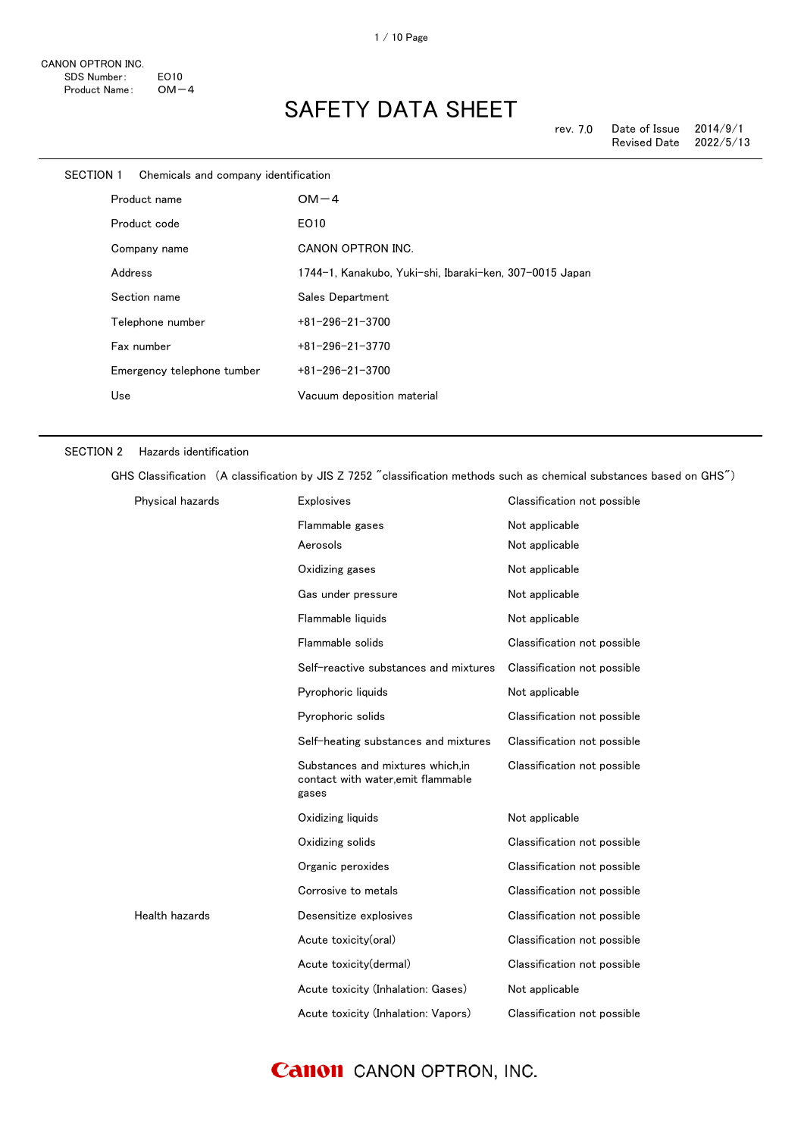| SECTION 1    | Chemicals and company identification |                                                         |
|--------------|--------------------------------------|---------------------------------------------------------|
| Product name |                                      | $OM-4$                                                  |
|              | Product code                         | EO10                                                    |
|              | Company name                         | CANON OPTRON INC.                                       |
|              | Address                              | 1744-1, Kanakubo, Yuki-shi, Ibaraki-ken, 307-0015 Japan |
|              | Section name                         | Sales Department                                        |
|              | Telephone number                     | $+81 - 296 - 21 - 3700$                                 |
|              | Fax number                           | $+81 - 296 - 21 - 3770$                                 |
|              | Emergency telephone tumber           | $+81 - 296 - 21 - 3700$                                 |
|              | Use                                  | Vacuum deposition material                              |
|              |                                      |                                                         |

#### SECTION 2 Hazards identification

GHS Classification (A classification by JIS Z 7252 "classification methods such as chemical substances based on GHS")

| Physical hazards | Explosives                                                                     | Classification not possible |
|------------------|--------------------------------------------------------------------------------|-----------------------------|
|                  | Flammable gases                                                                | Not applicable              |
|                  | Aerosols                                                                       | Not applicable              |
|                  | Oxidizing gases                                                                | Not applicable              |
|                  | Gas under pressure                                                             | Not applicable              |
|                  | Flammable liquids                                                              | Not applicable              |
|                  | Flammable solids                                                               | Classification not possible |
|                  | Self-reactive substances and mixtures                                          | Classification not possible |
|                  | Pyrophoric liquids                                                             | Not applicable              |
|                  | Pyrophoric solids                                                              | Classification not possible |
|                  | Self-heating substances and mixtures                                           | Classification not possible |
|                  | Substances and mixtures which.in<br>contact with water,emit flammable<br>gases | Classification not possible |
|                  | Oxidizing liquids                                                              | Not applicable              |
|                  | Oxidizing solids                                                               | Classification not possible |
|                  | Organic peroxides                                                              | Classification not possible |
|                  | Corrosive to metals                                                            | Classification not possible |
| Health hazards   | Desensitize explosives                                                         | Classification not possible |
|                  | Acute toxicity(oral)                                                           | Classification not possible |
|                  | Acute toxicity (dermal)                                                        | Classification not possible |
|                  | Acute toxicity (Inhalation: Gases)                                             | Not applicable              |
|                  | Acute toxicity (Inhalation: Vapors)                                            | Classification not possible |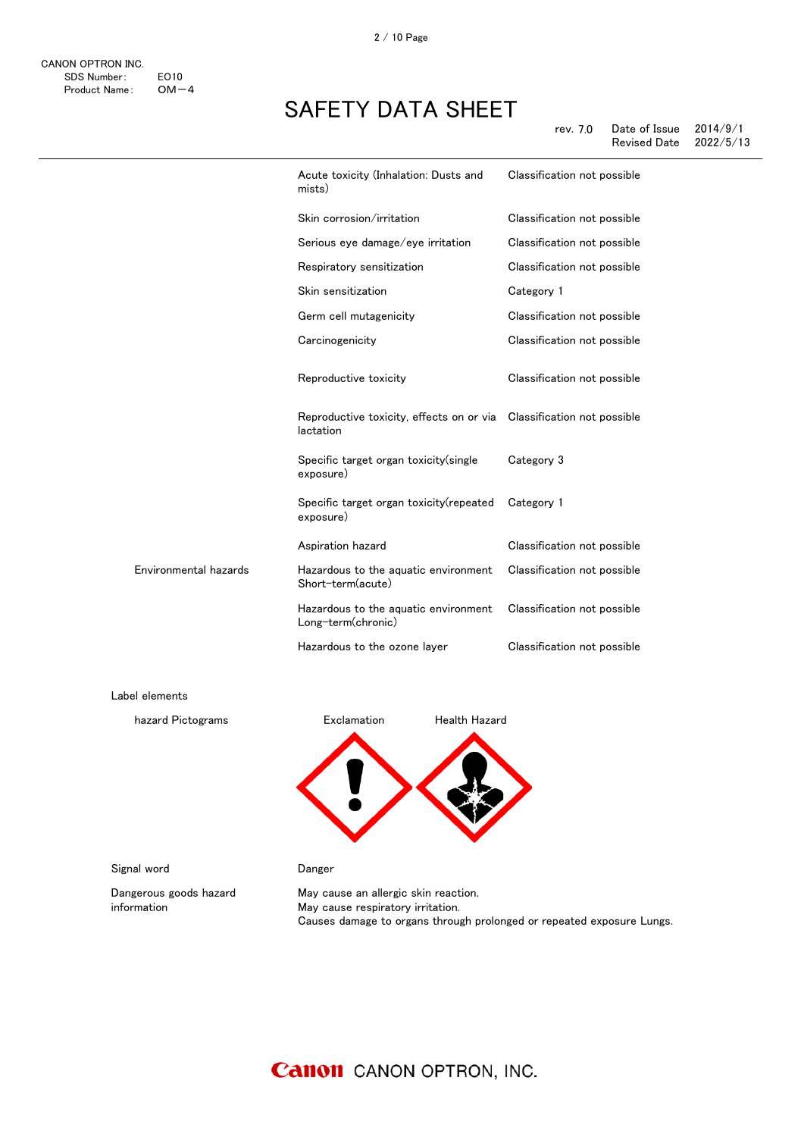|                       | Acute toxicity (Inhalation: Dusts and<br>mists)            | Classification not possible |
|-----------------------|------------------------------------------------------------|-----------------------------|
|                       | Skin corrosion/irritation                                  | Classification not possible |
|                       | Serious eye damage/eye irritation                          | Classification not possible |
|                       | Respiratory sensitization                                  | Classification not possible |
|                       | Skin sensitization                                         | Category 1                  |
|                       | Germ cell mutagenicity                                     | Classification not possible |
|                       | Carcinogenicity                                            | Classification not possible |
|                       | Reproductive toxicity                                      | Classification not possible |
|                       | Reproductive toxicity, effects on or via<br>lactation      | Classification not possible |
|                       | Specific target organ toxicity(single<br>exposure)         | Category 3                  |
|                       | Specific target organ toxicity(repeated<br>exposure)       | Category 1                  |
|                       | Aspiration hazard                                          | Classification not possible |
| Environmental hazards | Hazardous to the aquatic environment<br>Short-term(acute)  | Classification not possible |
|                       | Hazardous to the aquatic environment<br>Long-term(chronic) | Classification not possible |
|                       | Hazardous to the ozone layer                               | Classification not possible |
| Label elements        |                                                            |                             |
| hazard Pictograms     | Health Hazard<br>Exclamation                               |                             |
|                       |                                                            |                             |

Signal word **Danger** 

information

Dangerous goods hazard

May cause an allergic skin reaction. May cause respiratory irritation. Causes damage to organs through prolonged or repeated exposure Lungs.

### **Canon** CANON OPTRON, INC.

感嘆符 健康有害性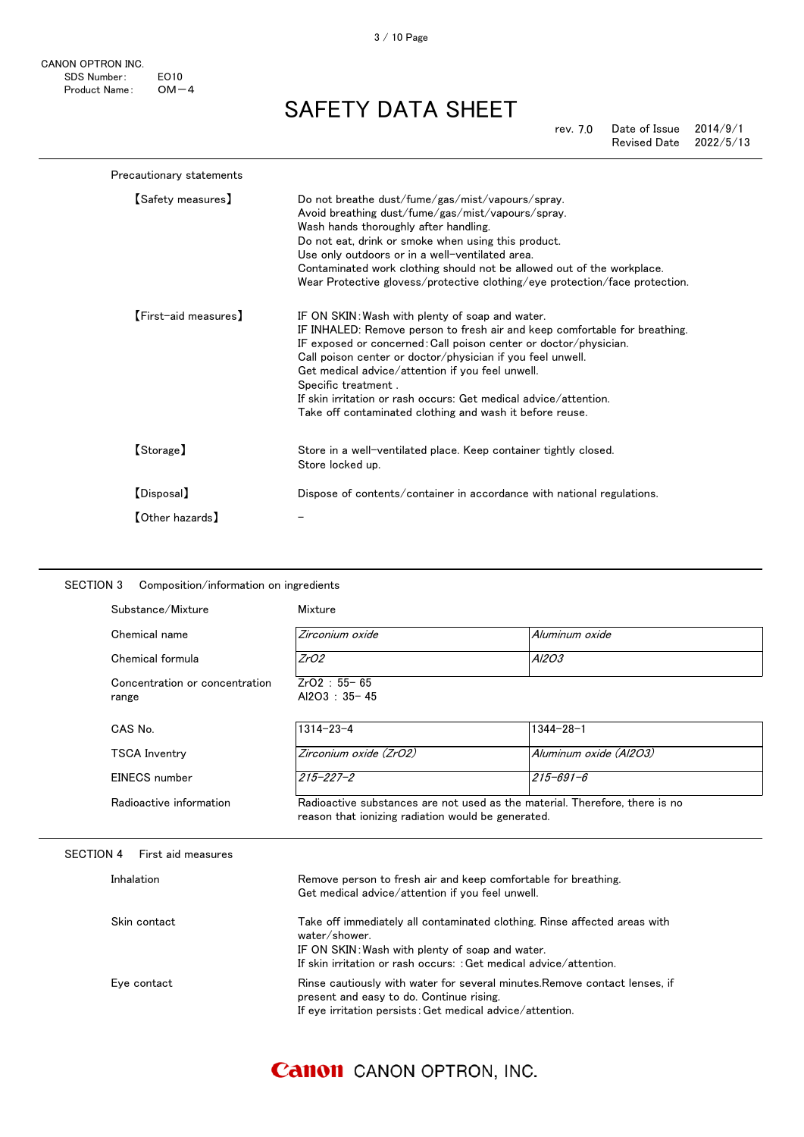CANON OPTRON INC. SDS Number: EO10<br>Product Name: OM-4 Product Name:

SAFETY DATA SHEET

rev. 7.0 Date of Issue 2014/9/1 Revised Date 2022/5/13

| Precautionary statements |                                                                                                                                                                                                                                                                                                                                                                                                                                                                            |
|--------------------------|----------------------------------------------------------------------------------------------------------------------------------------------------------------------------------------------------------------------------------------------------------------------------------------------------------------------------------------------------------------------------------------------------------------------------------------------------------------------------|
| <b>[Safety measures]</b> | Do not breathe dust/fume/gas/mist/vapours/spray.<br>Avoid breathing dust/fume/gas/mist/vapours/spray.<br>Wash hands thoroughly after handling.<br>Do not eat, drink or smoke when using this product.<br>Use only outdoors or in a well-ventilated area.<br>Contaminated work clothing should not be allowed out of the workplace.<br>Wear Protective glovess/protective clothing/eye protection/face protection.                                                          |
| [First-aid measures]     | IF ON SKIN: Wash with plenty of soap and water.<br>IF INHALED: Remove person to fresh air and keep comfortable for breathing.<br>IF exposed or concerned: Call poison center or doctor/physician.<br>Call poison center or doctor/physician if you feel unwell.<br>Get medical advice/attention if you feel unwell.<br>Specific treatment.<br>If skin irritation or rash occurs: Get medical advice/attention.<br>Take off contaminated clothing and wash it before reuse. |
| [Storage]                | Store in a well-ventilated place. Keep container tightly closed.<br>Store locked up.                                                                                                                                                                                                                                                                                                                                                                                       |
| [Disposal]               | Dispose of contents/container in accordance with national regulations.                                                                                                                                                                                                                                                                                                                                                                                                     |
| 【Other hazards】          |                                                                                                                                                                                                                                                                                                                                                                                                                                                                            |

| Substance/Mixture                       | Mixture                                                                                                                                |                                                                           |
|-----------------------------------------|----------------------------------------------------------------------------------------------------------------------------------------|---------------------------------------------------------------------------|
| Chemical name                           | Zirconium oxide                                                                                                                        | Aluminum oxide                                                            |
| Chemical formula                        | ZrO2                                                                                                                                   | A/203                                                                     |
| Concentration or concentration<br>range | $ZrO2 : 55 - 65$<br>Al2O3: 35-45                                                                                                       |                                                                           |
| CAS No.                                 | $1314 - 23 - 4$                                                                                                                        | $1344 - 28 - 1$                                                           |
| <b>TSCA Inventry</b>                    | Zirconium oxide (ZrO2)                                                                                                                 | Aluminum oxide (Al2O3)                                                    |
| EINECS number                           | $215 - 227 - 2$                                                                                                                        | $215 - 691 - 6$                                                           |
| Radioactive information                 | Radioactive substances are not used as the material. Therefore, there is no<br>reason that ionizing radiation would be generated.      |                                                                           |
| <b>SECTION 4</b><br>First aid measures  |                                                                                                                                        |                                                                           |
|                                         |                                                                                                                                        |                                                                           |
| Inhalation                              | Remove person to fresh air and keep comfortable for breathing.<br>Get medical advice/attention if you feel unwell.                     |                                                                           |
| Skin contact                            | water/shower.<br>IF ON SKIN: Wash with plenty of soap and water.<br>If skin irritation or rash occurs: : Get medical advice/attention. | Take off immediately all contaminated clothing. Rinse affected areas with |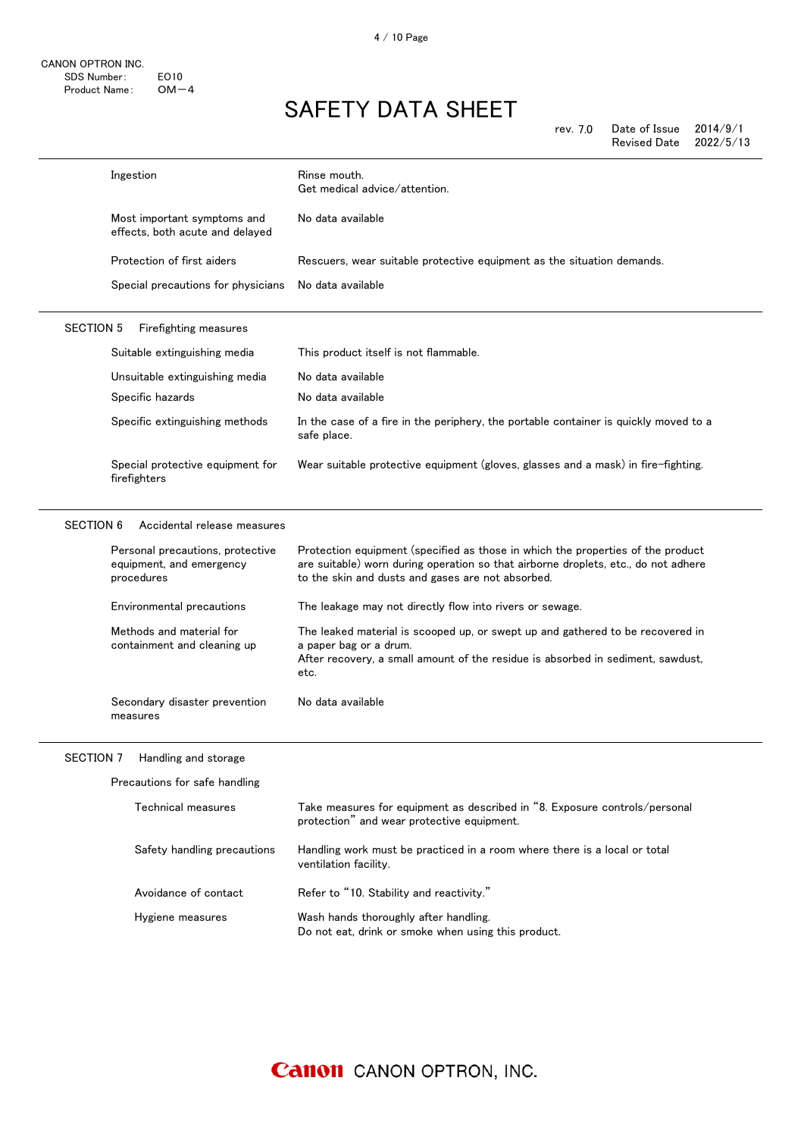4 / 10 Page

# SAFETY DATA SHEET

rev. 7.0 Date of Issue 2014/9/1 Revised Date 2022/5/13

|                  | Ingestion                                                                  | Rinse mouth.<br>Get medical advice/attention.                                                                                                                                                                              |
|------------------|----------------------------------------------------------------------------|----------------------------------------------------------------------------------------------------------------------------------------------------------------------------------------------------------------------------|
|                  | Most important symptoms and<br>effects, both acute and delayed             | No data available                                                                                                                                                                                                          |
|                  | Protection of first aiders                                                 | Rescuers, wear suitable protective equipment as the situation demands.                                                                                                                                                     |
|                  | Special precautions for physicians                                         | No data available                                                                                                                                                                                                          |
| <b>SECTION 5</b> | Firefighting measures                                                      |                                                                                                                                                                                                                            |
|                  | Suitable extinguishing media                                               | This product itself is not flammable.                                                                                                                                                                                      |
|                  | Unsuitable extinguishing media                                             | No data available                                                                                                                                                                                                          |
|                  | Specific hazards                                                           | No data available                                                                                                                                                                                                          |
|                  | Specific extinguishing methods                                             | In the case of a fire in the periphery, the portable container is quickly moved to a<br>safe place.                                                                                                                        |
|                  | Special protective equipment for<br>firefighters                           | Wear suitable protective equipment (gloves, glasses and a mask) in fire-fighting.                                                                                                                                          |
| <b>SECTION 6</b> | Accidental release measures                                                |                                                                                                                                                                                                                            |
|                  | Personal precautions, protective<br>equipment, and emergency<br>procedures | Protection equipment (specified as those in which the properties of the product<br>are suitable) worn during operation so that airborne droplets, etc., do not adhere<br>to the skin and dusts and gases are not absorbed. |
|                  | Environmental precautions                                                  | The leakage may not directly flow into rivers or sewage.                                                                                                                                                                   |
|                  | Methods and material for<br>containment and cleaning up                    | The leaked material is scooped up, or swept up and gathered to be recovered in<br>a paper bag or a drum.<br>After recovery, a small amount of the residue is absorbed in sediment, sawdust,<br>etc.                        |
|                  | Secondary disaster prevention<br>measures                                  | No data available                                                                                                                                                                                                          |
|                  | SECTION 7 Handling and storage                                             |                                                                                                                                                                                                                            |
|                  | Precautions for safe handling                                              |                                                                                                                                                                                                                            |
|                  | Technical measures                                                         | Take measures for equipment as described in "8. Exposure controls/personal<br>protection" and wear protective equipment.                                                                                                   |
|                  | Safety handling precautions                                                | Handling work must be practiced in a room where there is a local or total<br>ventilation facility.                                                                                                                         |
|                  | Avoidance of contact                                                       | Refer to "10. Stability and reactivity."                                                                                                                                                                                   |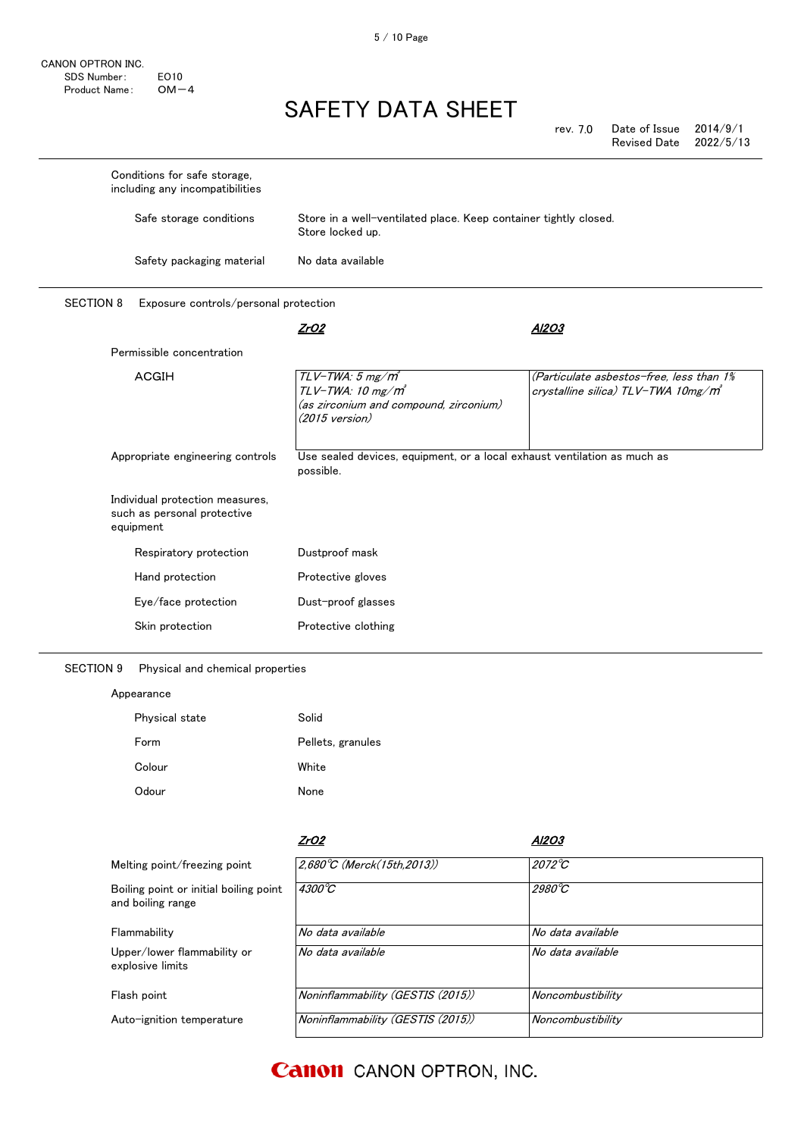CANON OPTRON INC. SDS Number: EO10<br>Product Name: OM-4 Product Name:

# SAFETY DATA SHEET

rev. 7.0 Date of Issue 2014/9/1 Revised Date

| Conditions for safe storage,<br>including any incompatibilities             |                                                                                                                      |                                                                                             |
|-----------------------------------------------------------------------------|----------------------------------------------------------------------------------------------------------------------|---------------------------------------------------------------------------------------------|
| Safe storage conditions                                                     | Store in a well-ventilated place. Keep container tightly closed.<br>Store locked up.                                 |                                                                                             |
| Safety packaging material                                                   | No data available                                                                                                    |                                                                                             |
| <b>SECTION 8</b><br>Exposure controls/personal protection                   |                                                                                                                      |                                                                                             |
|                                                                             | ZrO2                                                                                                                 | AI2O3                                                                                       |
| Permissible concentration                                                   |                                                                                                                      |                                                                                             |
| <b>ACGIH</b>                                                                | $TLV$ -TWA: 5 mg/ $m^3$<br>TLV-TWA: 10 mg/m <sup>3</sup><br>(as zirconium and compound, zirconium)<br>(2015 version) | (Particulate asbestos-free, less than 1%<br>crystalline silica) TLV-TWA 10mg/m <sup>3</sup> |
| Appropriate engineering controls                                            | Use sealed devices, equipment, or a local exhaust ventilation as much as<br>possible.                                |                                                                                             |
| Individual protection measures,<br>such as personal protective<br>equipment |                                                                                                                      |                                                                                             |
| Respiratory protection                                                      | Dustproof mask                                                                                                       |                                                                                             |
| Hand protection                                                             | Protective gloves                                                                                                    |                                                                                             |
| Eye/face protection                                                         | Dust-proof glasses                                                                                                   |                                                                                             |
| Skin protection                                                             | Protective clothing                                                                                                  |                                                                                             |

SECTION 9 Physical and chemical properties

### Appearance

| Physical state | Solid             |
|----------------|-------------------|
| Form           | Pellets, granules |
| Colour         | White             |
| Odour          | None              |

|                                                             | ZrO2                                | Al2O3             |
|-------------------------------------------------------------|-------------------------------------|-------------------|
| Melting point/freezing point                                | $2.680^{\circ}C$ (Merck(15th.2013)) | $2072^{\circ}C$   |
| Boiling point or initial boiling point<br>and boiling range | $4300^{\circ}C$                     | $2980^{\circ}$ C  |
| Flammability                                                | No data available                   | No data available |
| Upper/lower flammability or<br>explosive limits             | No data available                   | No data available |
| Flash point                                                 | Noninflammability (GESTIS (2015))   | Noncombustibility |
| Auto-ignition temperature                                   | Noninflammability (GESTIS (2015))   | Noncombustibility |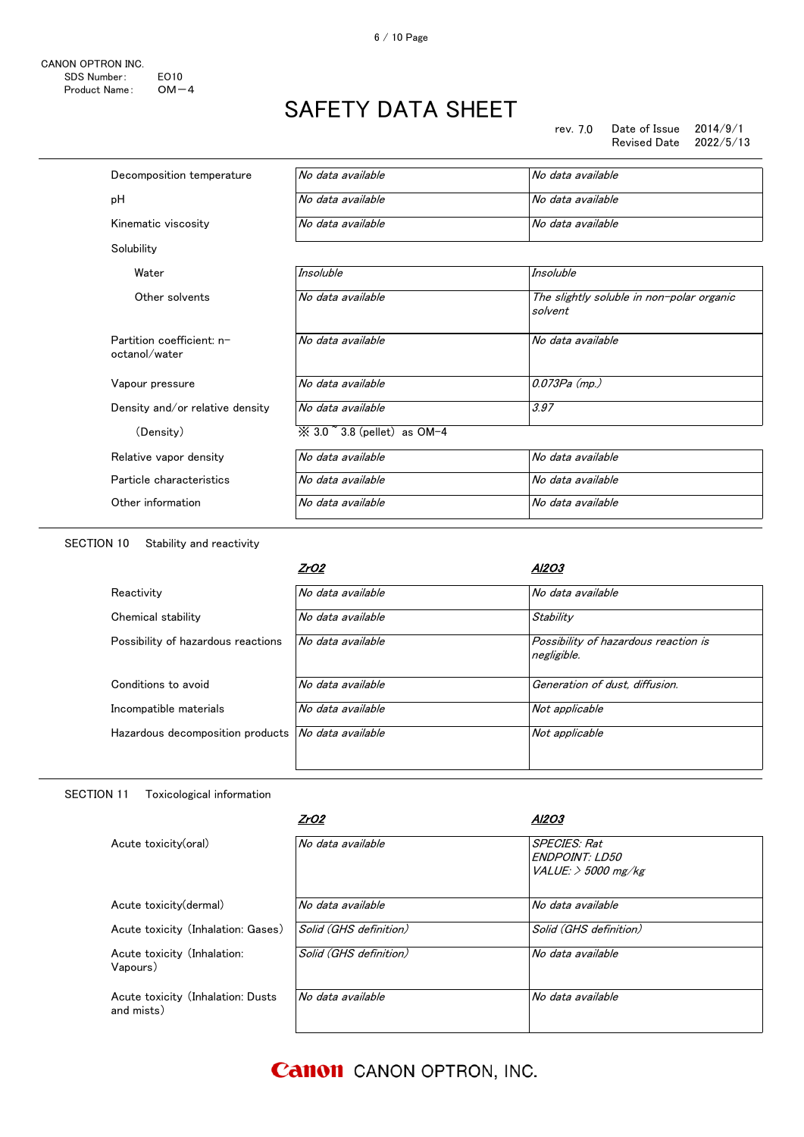rev. 7.0 Date of Issue 2014/9/1 Revised Date

| Decomposition temperature                  | No data available                       | No data available                                    |
|--------------------------------------------|-----------------------------------------|------------------------------------------------------|
| pH                                         | No data available                       | No data available                                    |
| Kinematic viscosity                        | No data available                       | No data available                                    |
| Solubility                                 |                                         |                                                      |
| Water                                      | Insoluble                               | Insoluble                                            |
| Other solvents                             | No data available                       | The slightly soluble in non-polar organic<br>solvent |
| Partition coefficient: n-<br>octanol/water | No data available                       | No data available                                    |
| Vapour pressure                            | No data available                       | $0.073Pa$ (mp.)                                      |
| Density and/or relative density            | No data available                       | 3.97                                                 |
| (Density)                                  | $\%$ 3.0 $\degree$ 3.8 (pellet) as OM-4 |                                                      |
| Relative vapor density                     | No data available                       | No data available                                    |
| Particle characteristics                   | No data available                       | No data available                                    |
| Other information                          | No data available                       | No data available                                    |
|                                            |                                         |                                                      |

SECTION 10 Stability and reactivity

|                                    | ZrO2              | Al2O3                                               |
|------------------------------------|-------------------|-----------------------------------------------------|
| Reactivity                         | No data available | No data available                                   |
| Chemical stability                 | No data available | Stability                                           |
| Possibility of hazardous reactions | No data available | Possibility of hazardous reaction is<br>negligible. |
| Conditions to avoid                | No data available | Generation of dust, diffusion.                      |
| Incompatible materials             | No data available | Not applicable                                      |
| Hazardous decomposition products   | No data available | Not applicable                                      |
|                                    |                   |                                                     |

### SECTION 11 Toxicological information

|                                                 | ZrO2                   | Al2O3                                                                |
|-------------------------------------------------|------------------------|----------------------------------------------------------------------|
| Acute toxicity(oral)                            | No data available      | <b>SPECIES: Rat</b><br><b>ENDPOINT LD50</b><br>VALUE: $>$ 5000 mg/kg |
| Acute toxicity(dermal)                          | No data available      | No data available                                                    |
| Acute toxicity (Inhalation: Gases)              | Solid (GHS definition) | Solid (GHS definition)                                               |
| Acute toxicity (Inhalation:<br>Vapours)         | Solid (GHS definition) | No data available                                                    |
| Acute toxicity (Inhalation: Dusts<br>and mists) | No data available      | No data available                                                    |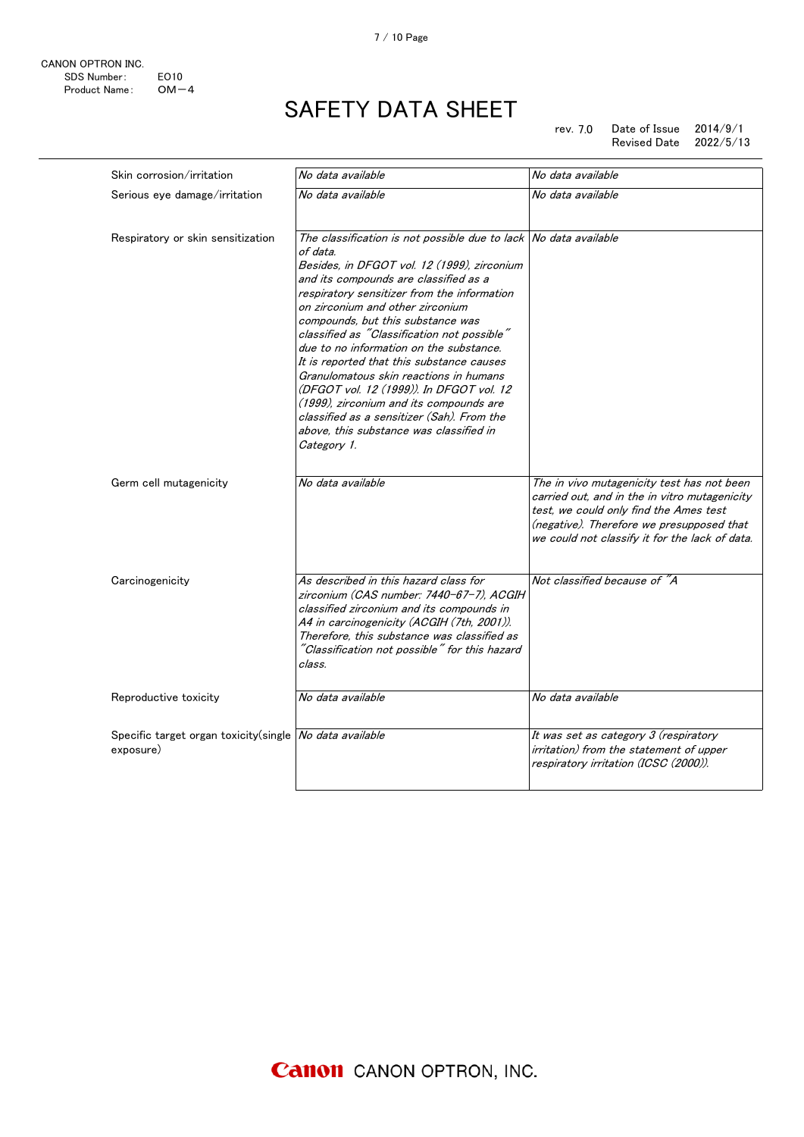

rev. 7.0 Date of Issue 2014/9/1 Revised Date 2022/5/13

| Skin corrosion/irritation                                            | No data available                                                                                                                                                                                                                                                                                                                                                                                                                                                                                                                                                                                                                                                            | No data available                                                                                                                                                                                                                    |
|----------------------------------------------------------------------|------------------------------------------------------------------------------------------------------------------------------------------------------------------------------------------------------------------------------------------------------------------------------------------------------------------------------------------------------------------------------------------------------------------------------------------------------------------------------------------------------------------------------------------------------------------------------------------------------------------------------------------------------------------------------|--------------------------------------------------------------------------------------------------------------------------------------------------------------------------------------------------------------------------------------|
| Serious eye damage/irritation                                        | No data available                                                                                                                                                                                                                                                                                                                                                                                                                                                                                                                                                                                                                                                            | No data available                                                                                                                                                                                                                    |
| Respiratory or skin sensitization                                    | The classification is not possible due to lack No data available<br>of data.<br>Besides, in DFGOT vol. 12 (1999), zirconium<br>and its compounds are classified as a<br>respiratory sensitizer from the information<br>on zirconium and other zirconium<br>compounds, but this substance was<br>classified as "Classification not possible"<br>due to no information on the substance.<br>It is reported that this substance causes<br>Granulomatous skin reactions in humans<br>(DFGOT vol. 12 (1999)). In DFGOT vol. 12<br>(1999), zirconium and its compounds are<br>classified as a sensitizer (Sah). From the<br>above, this substance was classified in<br>Category 1. |                                                                                                                                                                                                                                      |
| Germ cell mutagenicity                                               | No data available                                                                                                                                                                                                                                                                                                                                                                                                                                                                                                                                                                                                                                                            | The in vivo mutagenicity test has not been<br>carried out, and in the in vitro mutagenicity<br>test, we could only find the Ames test<br>(negative). Therefore we presupposed that<br>we could not classify it for the lack of data. |
| Carcinogenicity                                                      | As described in this hazard class for<br>zirconium (CAS number: 7440-67-7). ACGIH<br>classified zirconium and its compounds in<br>A4 in carcinogenicity (ACGIH (7th, 2001)).<br>Therefore, this substance was classified as<br>"Classification not possible" for this hazard<br>class.                                                                                                                                                                                                                                                                                                                                                                                       | Not classified because of "A                                                                                                                                                                                                         |
| Reproductive toxicity                                                | No data available                                                                                                                                                                                                                                                                                                                                                                                                                                                                                                                                                                                                                                                            | No data available                                                                                                                                                                                                                    |
| Specific target organ toxicity(single No data available<br>exposure) |                                                                                                                                                                                                                                                                                                                                                                                                                                                                                                                                                                                                                                                                              | It was set as category 3 (respiratory<br>irritation) from the statement of upper<br>respiratory irritation (ICSC (2000)).                                                                                                            |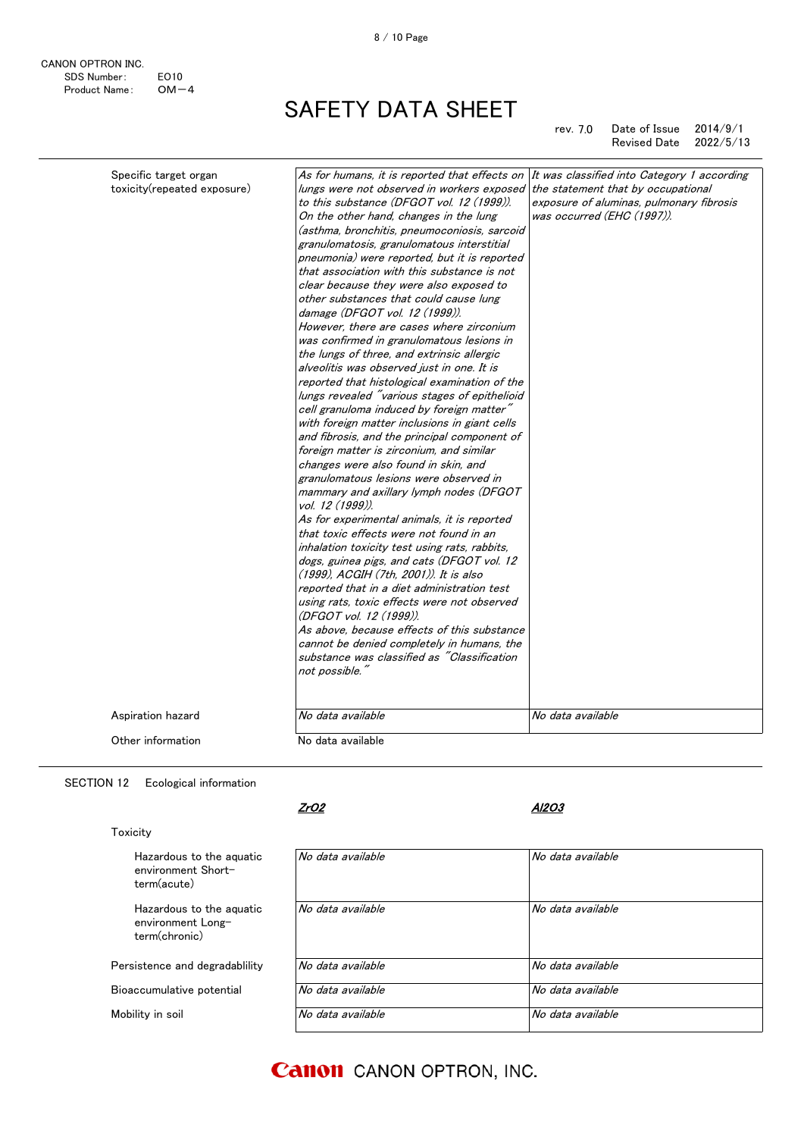rev. 7.0 Date of Issue 2014/9/1 Revised Date 2022/5/13

| Specific target organ<br>toxicity(repeated exposure) | As for humans, it is reported that effects on<br>lungs were not observed in workers exposed the statement that by occupational | It was classified into Category 1 according |
|------------------------------------------------------|--------------------------------------------------------------------------------------------------------------------------------|---------------------------------------------|
|                                                      | to this substance (DFGOT vol. 12 (1999)).                                                                                      | exposure of aluminas, pulmonary fibrosis    |
|                                                      | On the other hand, changes in the lung                                                                                         | was occurred (EHC (1997)).                  |
|                                                      | (asthma, bronchitis, pneumoconiosis, sarcoid                                                                                   |                                             |
|                                                      | granulomatosis, granulomatous interstitial<br>pneumonia) were reported, but it is reported                                     |                                             |
|                                                      | that association with this substance is not                                                                                    |                                             |
|                                                      | clear because they were also exposed to                                                                                        |                                             |
|                                                      | other substances that could cause lung                                                                                         |                                             |
|                                                      | damage (DFGOT vol. 12 (1999)).                                                                                                 |                                             |
|                                                      | However, there are cases where zirconium                                                                                       |                                             |
|                                                      | was confirmed in granulomatous lesions in                                                                                      |                                             |
|                                                      | the lungs of three, and extrinsic allergic                                                                                     |                                             |
|                                                      | alveolitis was observed just in one. It is                                                                                     |                                             |
|                                                      | reported that histological examination of the                                                                                  |                                             |
|                                                      | lungs revealed "various stages of epithelioid                                                                                  |                                             |
|                                                      | cell granuloma induced by foreign matter"                                                                                      |                                             |
|                                                      | with foreign matter inclusions in giant cells                                                                                  |                                             |
|                                                      | and fibrosis, and the principal component of                                                                                   |                                             |
|                                                      | foreign matter is zirconium, and similar                                                                                       |                                             |
|                                                      | changes were also found in skin, and                                                                                           |                                             |
|                                                      | granulomatous lesions were observed in                                                                                         |                                             |
|                                                      | mammary and axillary lymph nodes (DFGOT<br>vol. 12 (1999)).                                                                    |                                             |
|                                                      | As for experimental animals, it is reported                                                                                    |                                             |
|                                                      | that toxic effects were not found in an                                                                                        |                                             |
|                                                      | inhalation toxicity test using rats, rabbits,                                                                                  |                                             |
|                                                      | dogs, guinea pigs, and cats (DFGOT vol. 12<br>(1999), ACGIH (7th, 2001)), It is also                                           |                                             |
|                                                      | reported that in a diet administration test                                                                                    |                                             |
|                                                      | using rats, toxic effects were not observed                                                                                    |                                             |
|                                                      | (DFGOT vol. 12 (1999)).                                                                                                        |                                             |
|                                                      | As above, because effects of this substance                                                                                    |                                             |
|                                                      | cannot be denied completely in humans, the                                                                                     |                                             |
|                                                      | substance was classified as "Classification                                                                                    |                                             |
|                                                      | not possible."                                                                                                                 |                                             |
| Aspiration hazard                                    | No data available                                                                                                              | No data available                           |
|                                                      |                                                                                                                                |                                             |
| Other information                                    | No data available                                                                                                              |                                             |

SECTION 12 Ecological information

CANON OPTRON INC.

Product Name:

SDS Number: EO10<br>Product Name: OM-4

ZrO2

### Al2O3

| Toxicity                                                       |                   |                   |  |
|----------------------------------------------------------------|-------------------|-------------------|--|
| Hazardous to the aguatic<br>environment Short-<br>term(acute)  | No data available | No data available |  |
| Hazardous to the aguatic<br>environment Long-<br>term(chronic) | No data available | No data available |  |
| Persistence and degradability                                  | No data available | No data available |  |
| Bioaccumulative potential                                      | No data available | No data available |  |
| Mobility in soil                                               | No data available | No data available |  |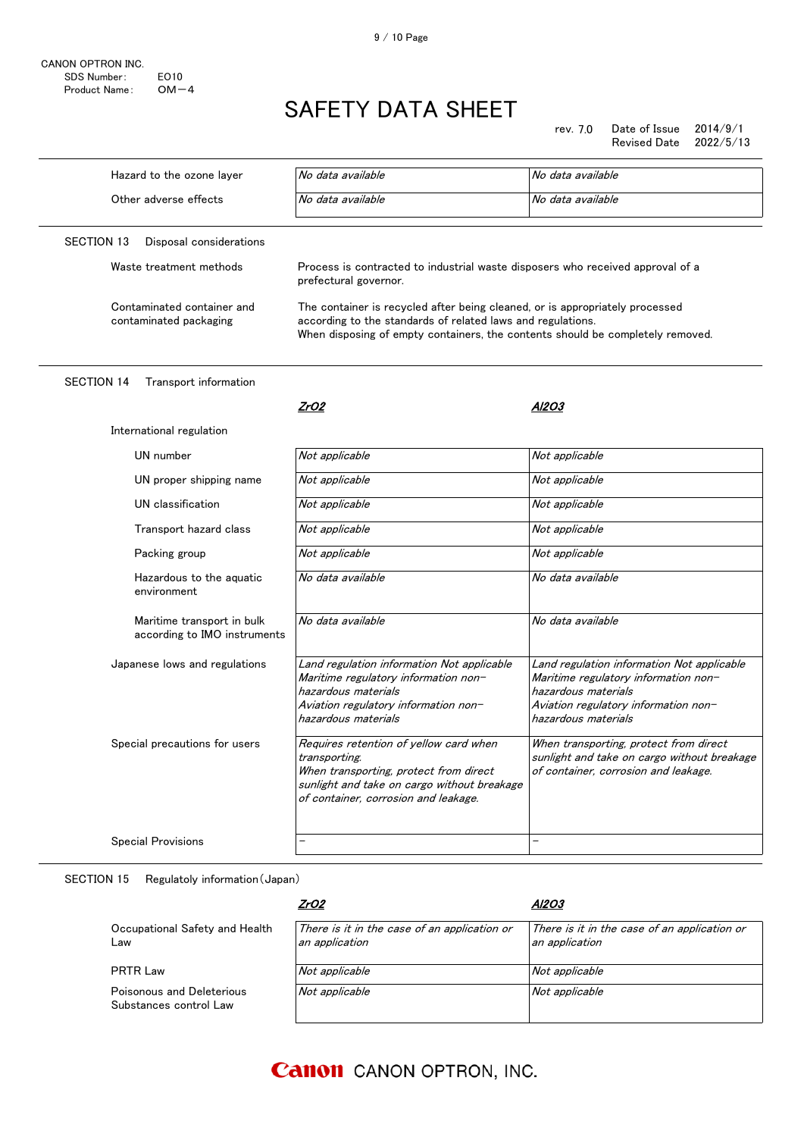CANON OPTRON INC. SDS Number: EO10<br>Product Name: OM-4 Product Name:

# SAFETY DATA SHEET

rev. 7.0 Date of Issue 2014/9/1 Revised Date

| Hazard to the ozone layer                                  | No data available                                                                                                                                                                                                             | No data available                                                                                                                                                        |
|------------------------------------------------------------|-------------------------------------------------------------------------------------------------------------------------------------------------------------------------------------------------------------------------------|--------------------------------------------------------------------------------------------------------------------------------------------------------------------------|
| Other adverse effects                                      | No data available                                                                                                                                                                                                             | No data available                                                                                                                                                        |
| <b>SECTION 13</b><br>Disposal considerations               |                                                                                                                                                                                                                               |                                                                                                                                                                          |
| Waste treatment methods                                    | Process is contracted to industrial waste disposers who received approval of a<br>prefectural governor.                                                                                                                       |                                                                                                                                                                          |
| Contaminated container and<br>contaminated packaging       | The container is recycled after being cleaned, or is appropriately processed<br>according to the standards of related laws and regulations.<br>When disposing of empty containers, the contents should be completely removed. |                                                                                                                                                                          |
| <b>SECTION 14</b><br>Transport information                 |                                                                                                                                                                                                                               |                                                                                                                                                                          |
|                                                            | ZrO2                                                                                                                                                                                                                          | Al2O3                                                                                                                                                                    |
| International regulation                                   |                                                                                                                                                                                                                               |                                                                                                                                                                          |
| UN number                                                  | Not applicable                                                                                                                                                                                                                | Not applicable                                                                                                                                                           |
| UN proper shipping name                                    | Not applicable                                                                                                                                                                                                                | Not applicable                                                                                                                                                           |
| UN classification                                          | Not applicable                                                                                                                                                                                                                | Not applicable                                                                                                                                                           |
| Transport hazard class                                     | Not applicable                                                                                                                                                                                                                | Not applicable                                                                                                                                                           |
| Packing group                                              | Not applicable                                                                                                                                                                                                                | Not applicable                                                                                                                                                           |
| Hazardous to the aquatic<br>environment                    | No data available                                                                                                                                                                                                             | No data available                                                                                                                                                        |
| Maritime transport in bulk<br>according to IMO instruments | No data available                                                                                                                                                                                                             | No data available                                                                                                                                                        |
| Japanese lows and regulations                              | Land regulation information Not applicable<br>Maritime regulatory information non-<br>hazardous materials<br>Aviation regulatory information non-<br>hazardous materials                                                      | Land regulation information Not applicable<br>Maritime regulatory information non-<br>hazardous materials<br>Aviation regulatory information non-<br>hazardous materials |
| Special precautions for users                              | Requires retention of yellow card when<br>transporting.<br>When transporting, protect from direct<br>sunlight and take on cargo without breakage<br>of container, corrosion and leakage.                                      | When transporting, protect from direct<br>sunlight and take on cargo without breakage<br>of container, corrosion and leakage.                                            |
| <b>Special Provisions</b>                                  |                                                                                                                                                                                                                               |                                                                                                                                                                          |
|                                                            |                                                                                                                                                                                                                               |                                                                                                                                                                          |

SECTION 15 Regulatoly information(Japan)

|                                                     | <u>ZrO2</u>                                                    | Al2O3                                                          |
|-----------------------------------------------------|----------------------------------------------------------------|----------------------------------------------------------------|
| Occupational Safety and Health<br>∟aw               | There is it in the case of an application or<br>an application | There is it in the case of an application or<br>an application |
| <b>PRTR Law</b>                                     | Not applicable                                                 | Not applicable                                                 |
| Poisonous and Deleterious<br>Substances control Law | Not applicable                                                 | Not applicable                                                 |